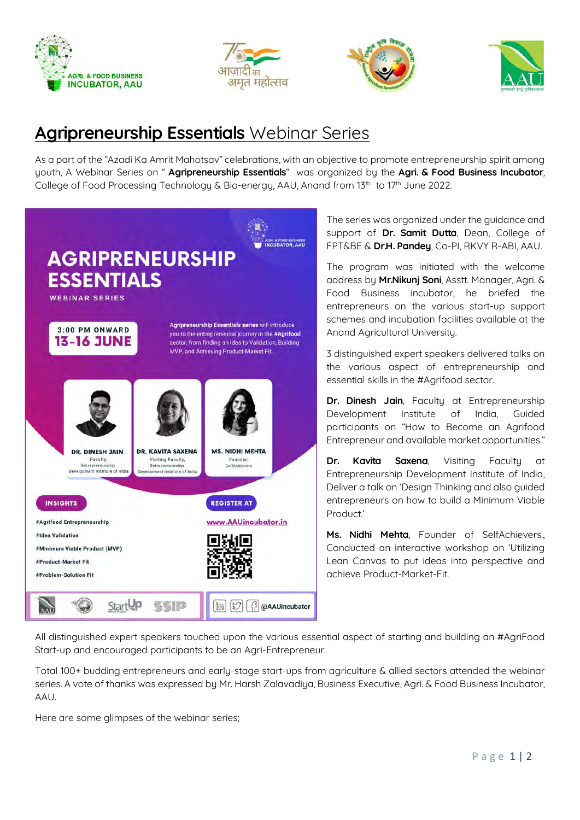







## **Agripreneurship Essentials Webinar Series**

As a part of the "Azadi Ka Amrit Mahotsav" celebrations, with an objective to promote entrepreneurship spirit among youth, A Webinar Series on " Agripreneurship Essentials" was organized by the Agri. & Food Business Incubator, College of Food Processing Technology & Bio-energy, AAU, Anand from 13<sup>th</sup> to 17<sup>th</sup> June 2022.



The series was organized under the guidance and support of Dr. Samit Dutta, Dean, College of FPT&BE & Dr.H. Pandey, Co-PI, RKVY R-ABI, AAU.

The program was initiated with the welcome address by Mr.Nikunj Soni, Asstt. Manager, Agri. & Food Business incubator, he briefed the entrepreneurs on the various start-up support schemes and incubation facilities available at the Anand Agricultural University.

3 distinguished expert speakers delivered talks on the various aspect of entrepreneurship and essential skills in the #Agrifood sector.

Dr. Dinesh Jain, Faculty at Entrepreneurship Development Institute of India, Guided participants on "How to Become an Agrifood Entrepreneur and available market opportunities."

Dr. Kavita Saxena, Visiting Faculty at Entrepreneurship Development Institute of India, Deliver a talk on 'Design Thinking and also guided entrepreneurs on how to build a Minimum Viable Product.'

Ms. Nidhi Mehta, Founder of SelfAchievers., Conducted an interactive workshop on 'Utilizing Lean Canvas to put ideas into perspective and achieve Product-Market-Fit.

All distinguished expert speakers touched upon the various essential aspect of starting and building an #AgriFood Start-up and encouraged participants to be an Agri-Entrepreneur.

Total 100+ budding entrepreneurs and early-stage start-ups from agriculture & allied sectors attended the webinar series. A vote of thanks was expressed by Mr. Harsh Zalavadiya, Business Executive, Agri. & Food Business Incubator, AAU.

Here are some glimpses of the webinar series;